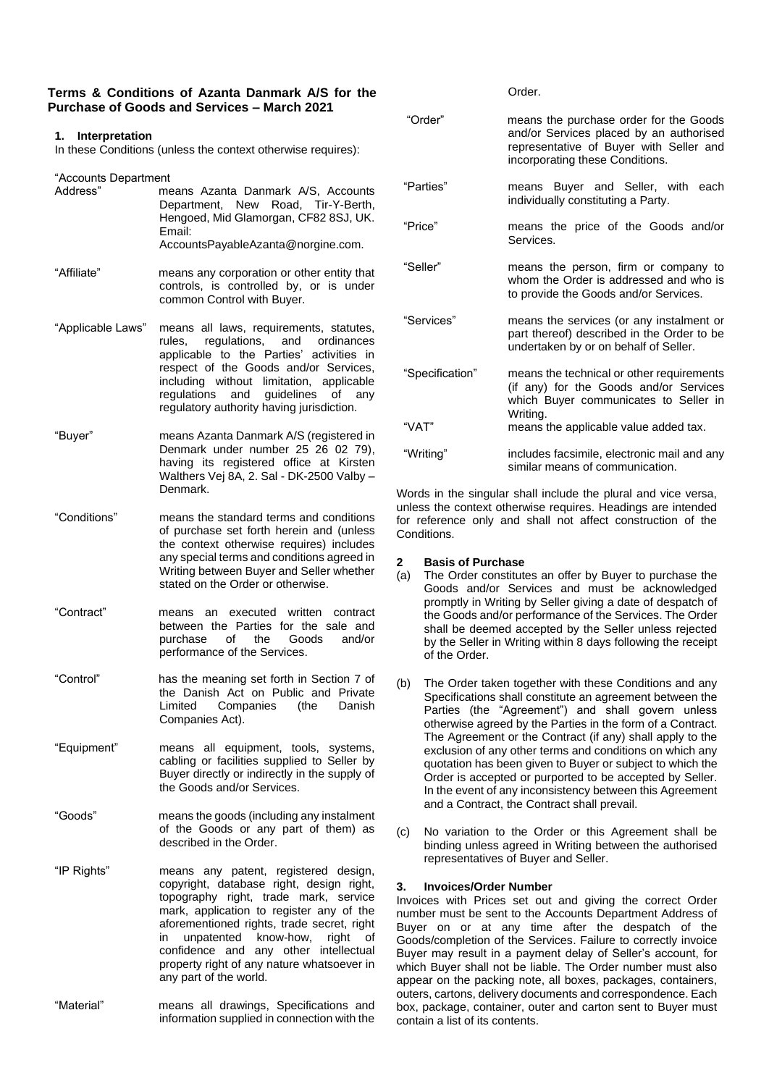### **Terms & Conditions of Azanta Danmark A/S for the Purchase of Goods and Services – March 2021**

### **1. Interpretation**

In these Conditions (unless the context otherwise requires):

"Accounts Department

| Address"    | means Azanta Danmark A/S, Accounts<br>Department, New Road, Tir-Y-Berth,<br>Hengoed, Mid Glamorgan, CF82 8SJ, UK.<br>Email: |
|-------------|-----------------------------------------------------------------------------------------------------------------------------|
| "Affiliate" | AccountsPayableAzanta@norgine.com.<br>means any corporation or other entity that                                            |

controls, is controlled by, or is under common Control with Buyer.

- "Applicable Laws" means all laws, requirements, statutes, rules, regulations, and ordinances applicable to the Parties' activities in respect of the Goods and/or Services, including without limitation, applicable regulations and guidelines of any regulatory authority having jurisdiction.
- "Buyer" means Azanta Danmark A/S (registered in Denmark under number 25 26 02 79), having its registered office at Kirsten Walthers Vej 8A, 2. Sal - DK-2500 Valby – Denmark.
- "Conditions" means the standard terms and conditions of purchase set forth herein and (unless the context otherwise requires) includes any special terms and conditions agreed in Writing between Buyer and Seller whether stated on the Order or otherwise.
- "Contract" means an executed written contract between the Parties for the sale and<br>purchase of the Goods and/or purchase of the performance of the Services.
- "Control" has the meaning set forth in Section 7 of the Danish Act on Public and Private<br>Limited Companies (the Danish **Companies** Companies Act).
- "Equipment" means all equipment, tools, systems, cabling or facilities supplied to Seller by Buyer directly or indirectly in the supply of the Goods and/or Services.
- "Goods" means the goods (including any instalment of the Goods or any part of them) as described in the Order.
- "IP Rights" means any patent, registered design, copyright, database right, design right, topography right, trade mark, service mark, application to register any of the aforementioned rights, trade secret, right<br>in unpatented know-how, right of unpatented know-how, right of confidence and any other intellectual property right of any nature whatsoever in any part of the world.
- "Material" means all drawings, Specifications and information supplied in connection with the

| "Order"         | means the purchase order for the Goods<br>and/or Services placed by an authorised<br>representative of Buyer with Seller and<br>incorporating these Conditions. |
|-----------------|-----------------------------------------------------------------------------------------------------------------------------------------------------------------|
| "Parties"       | means Buyer and Seller, with each<br>individually constituting a Party.                                                                                         |
| "Price"         | means the price of the Goods and/or<br>Services.                                                                                                                |
| "Seller"        | means the person, firm or company to<br>whom the Order is addressed and who is<br>to provide the Goods and/or Services.                                         |
| "Services"      | means the services (or any instalment or<br>part thereof) described in the Order to be<br>undertaken by or on behalf of Seller.                                 |
| "Specification" | means the technical or other requirements<br>(if any) for the Goods and/or Services<br>which Buyer communicates to Seller in<br>Writing.                        |
| "VAT"           | means the applicable value added tax.                                                                                                                           |
| "Writing"       | includes facsimile, electronic mail and any<br>similar means of communication.                                                                                  |

Words in the singular shall include the plural and vice versa, unless the context otherwise requires. Headings are intended for reference only and shall not affect construction of the **Conditions** 

## **2 Basis of Purchase**

- (a) The Order constitutes an offer by Buyer to purchase the Goods and/or Services and must be acknowledged promptly in Writing by Seller giving a date of despatch of the Goods and/or performance of the Services. The Order shall be deemed accepted by the Seller unless rejected by the Seller in Writing within 8 days following the receipt of the Order.
- (b) The Order taken together with these Conditions and any Specifications shall constitute an agreement between the Parties (the "Agreement") and shall govern unless otherwise agreed by the Parties in the form of a Contract. The Agreement or the Contract (if any) shall apply to the exclusion of any other terms and conditions on which any quotation has been given to Buyer or subject to which the Order is accepted or purported to be accepted by Seller. In the event of any inconsistency between this Agreement and a Contract, the Contract shall prevail.
- (c) No variation to the Order or this Agreement shall be binding unless agreed in Writing between the authorised representatives of Buyer and Seller.

# **3. Invoices/Order Number**

Invoices with Prices set out and giving the correct Order number must be sent to the Accounts Department Address of Buyer on or at any time after the despatch of the Goods/completion of the Services. Failure to correctly invoice Buyer may result in a payment delay of Seller's account, for which Buyer shall not be liable. The Order number must also appear on the packing note, all boxes, packages, containers, outers, cartons, delivery documents and correspondence. Each box, package, container, outer and carton sent to Buyer must contain a list of its contents.

Order.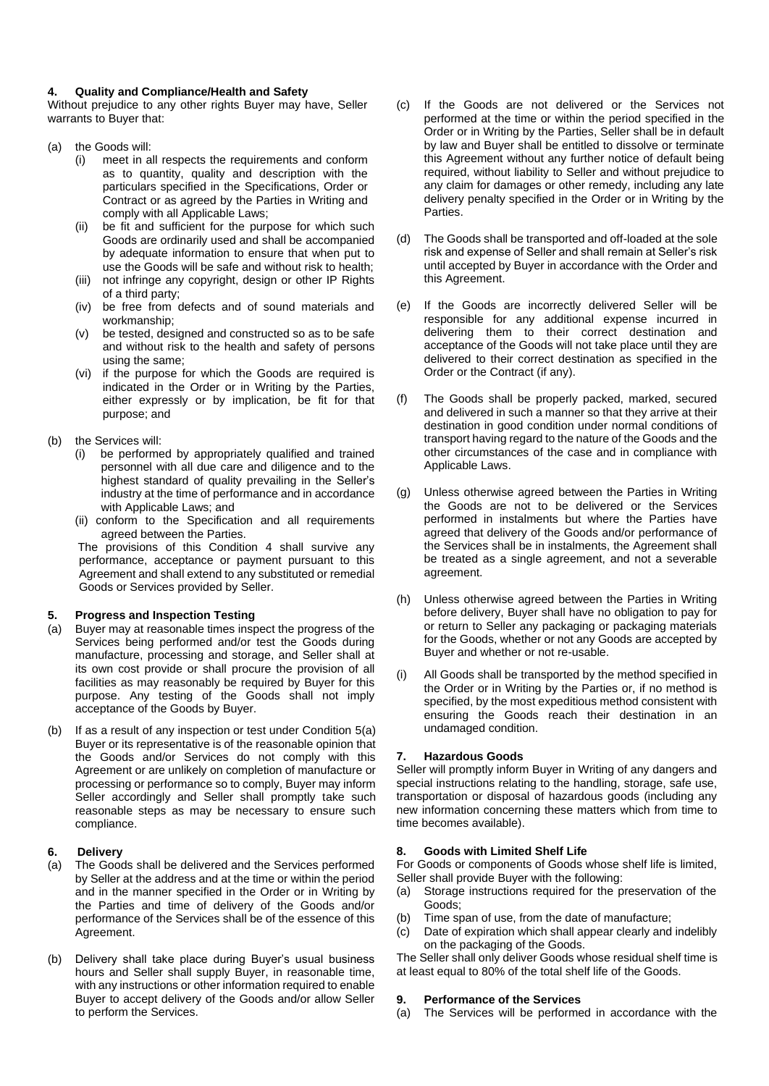### **4. Quality and Compliance/Health and Safety**

Without prejudice to any other rights Buyer may have, Seller warrants to Buyer that:

- (a) the Goods will:
	- (i) meet in all respects the requirements and conform as to quantity, quality and description with the particulars specified in the Specifications, Order or Contract or as agreed by the Parties in Writing and comply with all Applicable Laws;
	- (ii) be fit and sufficient for the purpose for which such Goods are ordinarily used and shall be accompanied by adequate information to ensure that when put to use the Goods will be safe and without risk to health;
	- (iii) not infringe any copyright, design or other IP Rights of a third party;
	- (iv) be free from defects and of sound materials and workmanship;
	- (v) be tested, designed and constructed so as to be safe and without risk to the health and safety of persons using the same;
	- (vi) if the purpose for which the Goods are required is indicated in the Order or in Writing by the Parties, either expressly or by implication, be fit for that purpose; and

### (b) the Services will:

- (i) be performed by appropriately qualified and trained personnel with all due care and diligence and to the highest standard of quality prevailing in the Seller's industry at the time of performance and in accordance with Applicable Laws; and
- (ii) conform to the Specification and all requirements agreed between the Parties.

The provisions of this Condition 4 shall survive any performance, acceptance or payment pursuant to this Agreement and shall extend to any substituted or remedial Goods or Services provided by Seller.

### **5. Progress and Inspection Testing**

- (a) Buyer may at reasonable times inspect the progress of the Services being performed and/or test the Goods during manufacture, processing and storage, and Seller shall at its own cost provide or shall procure the provision of all facilities as may reasonably be required by Buyer for this purpose. Any testing of the Goods shall not imply acceptance of the Goods by Buyer.
- (b) If as a result of any inspection or test under Condition 5(a) Buyer or its representative is of the reasonable opinion that the Goods and/or Services do not comply with this Agreement or are unlikely on completion of manufacture or processing or performance so to comply, Buyer may inform Seller accordingly and Seller shall promptly take such reasonable steps as may be necessary to ensure such compliance.

# **6. Delivery**

- (a) The Goods shall be delivered and the Services performed by Seller at the address and at the time or within the period and in the manner specified in the Order or in Writing by the Parties and time of delivery of the Goods and/or performance of the Services shall be of the essence of this Agreement.
- (b) Delivery shall take place during Buyer's usual business hours and Seller shall supply Buyer, in reasonable time, with any instructions or other information required to enable Buyer to accept delivery of the Goods and/or allow Seller to perform the Services.
- (c) If the Goods are not delivered or the Services not performed at the time or within the period specified in the Order or in Writing by the Parties, Seller shall be in default by law and Buyer shall be entitled to dissolve or terminate this Agreement without any further notice of default being required, without liability to Seller and without prejudice to any claim for damages or other remedy, including any late delivery penalty specified in the Order or in Writing by the **Parties**
- (d) The Goods shall be transported and off-loaded at the sole risk and expense of Seller and shall remain at Seller's risk until accepted by Buyer in accordance with the Order and this Agreement.
- (e) If the Goods are incorrectly delivered Seller will be responsible for any additional expense incurred in delivering them to their correct destination and acceptance of the Goods will not take place until they are delivered to their correct destination as specified in the Order or the Contract (if any).
- (f) The Goods shall be properly packed, marked, secured and delivered in such a manner so that they arrive at their destination in good condition under normal conditions of transport having regard to the nature of the Goods and the other circumstances of the case and in compliance with Applicable Laws.
- (g) Unless otherwise agreed between the Parties in Writing the Goods are not to be delivered or the Services performed in instalments but where the Parties have agreed that delivery of the Goods and/or performance of the Services shall be in instalments, the Agreement shall be treated as a single agreement, and not a severable agreement.
- (h) Unless otherwise agreed between the Parties in Writing before delivery, Buyer shall have no obligation to pay for or return to Seller any packaging or packaging materials for the Goods, whether or not any Goods are accepted by Buyer and whether or not re-usable.
- (i) All Goods shall be transported by the method specified in the Order or in Writing by the Parties or, if no method is specified, by the most expeditious method consistent with ensuring the Goods reach their destination in an undamaged condition.

# **7. Hazardous Goods**

Seller will promptly inform Buyer in Writing of any dangers and special instructions relating to the handling, storage, safe use, transportation or disposal of hazardous goods (including any new information concerning these matters which from time to time becomes available).

### **8. Goods with Limited Shelf Life**

For Goods or components of Goods whose shelf life is limited, Seller shall provide Buyer with the following:

- (a) Storage instructions required for the preservation of the Goods;
- (b) Time span of use, from the date of manufacture;
- (c) Date of expiration which shall appear clearly and indelibly on the packaging of the Goods.

The Seller shall only deliver Goods whose residual shelf time is at least equal to 80% of the total shelf life of the Goods.

### **9. Performance of the Services**

(a) The Services will be performed in accordance with the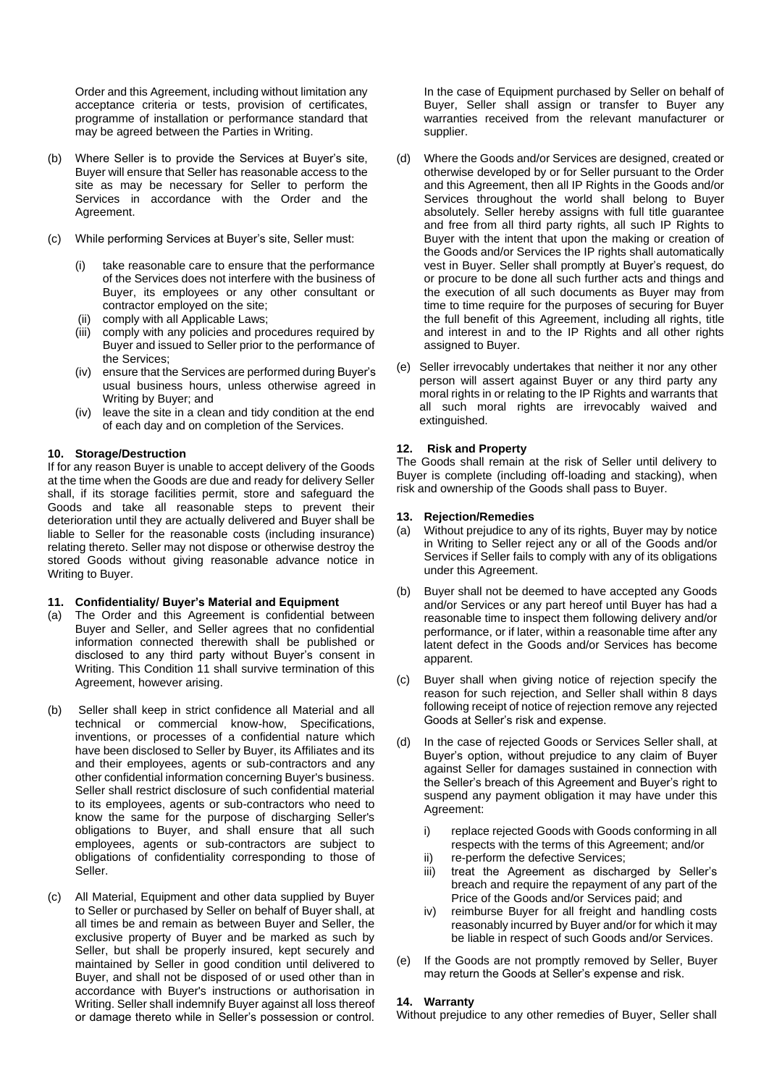Order and this Agreement, including without limitation any acceptance criteria or tests, provision of certificates, programme of installation or performance standard that may be agreed between the Parties in Writing.

- (b) Where Seller is to provide the Services at Buyer's site, Buyer will ensure that Seller has reasonable access to the site as may be necessary for Seller to perform the Services in accordance with the Order and the Agreement.
- (c) While performing Services at Buyer's site, Seller must:
	- (i) take reasonable care to ensure that the performance of the Services does not interfere with the business of Buyer, its employees or any other consultant or contractor employed on the site;
	- (ii) comply with all Applicable Laws;
	- (iii) comply with any policies and procedures required by Buyer and issued to Seller prior to the performance of the Services;
	- (iv) ensure that the Services are performed during Buyer's usual business hours, unless otherwise agreed in Writing by Buyer; and
	- (iv) leave the site in a clean and tidy condition at the end of each day and on completion of the Services.

## **10. Storage/Destruction**

If for any reason Buyer is unable to accept delivery of the Goods at the time when the Goods are due and ready for delivery Seller shall, if its storage facilities permit, store and safeguard the Goods and take all reasonable steps to prevent their deterioration until they are actually delivered and Buyer shall be liable to Seller for the reasonable costs (including insurance) relating thereto. Seller may not dispose or otherwise destroy the stored Goods without giving reasonable advance notice in Writing to Buyer.

### **11. Confidentiality/ Buyer's Material and Equipment**

- (a) The Order and this Agreement is confidential between Buyer and Seller, and Seller agrees that no confidential information connected therewith shall be published or disclosed to any third party without Buyer's consent in Writing. This Condition 11 shall survive termination of this Agreement, however arising.
- (b) Seller shall keep in strict confidence all Material and all technical or commercial know-how, Specifications, inventions, or processes of a confidential nature which have been disclosed to Seller by Buyer, its Affiliates and its and their employees, agents or sub-contractors and any other confidential information concerning Buyer's business. Seller shall restrict disclosure of such confidential material to its employees, agents or sub-contractors who need to know the same for the purpose of discharging Seller's obligations to Buyer, and shall ensure that all such employees, agents or sub-contractors are subject to obligations of confidentiality corresponding to those of Seller.
- (c) All Material, Equipment and other data supplied by Buyer to Seller or purchased by Seller on behalf of Buyer shall, at all times be and remain as between Buyer and Seller, the exclusive property of Buyer and be marked as such by Seller, but shall be properly insured, kept securely and maintained by Seller in good condition until delivered to Buyer, and shall not be disposed of or used other than in accordance with Buyer's instructions or authorisation in Writing. Seller shall indemnify Buyer against all loss thereof or damage thereto while in Seller's possession or control.

In the case of Equipment purchased by Seller on behalf of Buyer, Seller shall assign or transfer to Buyer any warranties received from the relevant manufacturer or supplier.

- (d) Where the Goods and/or Services are designed, created or otherwise developed by or for Seller pursuant to the Order and this Agreement, then all IP Rights in the Goods and/or Services throughout the world shall belong to Buyer absolutely. Seller hereby assigns with full title guarantee and free from all third party rights, all such IP Rights to Buyer with the intent that upon the making or creation of the Goods and/or Services the IP rights shall automatically vest in Buyer. Seller shall promptly at Buyer's request, do or procure to be done all such further acts and things and the execution of all such documents as Buyer may from time to time require for the purposes of securing for Buyer the full benefit of this Agreement, including all rights, title and interest in and to the IP Rights and all other rights assigned to Buyer.
- (e) Seller irrevocably undertakes that neither it nor any other person will assert against Buyer or any third party any moral rights in or relating to the IP Rights and warrants that all such moral rights are irrevocably waived and extinguished.

# **12. Risk and Property**

The Goods shall remain at the risk of Seller until delivery to Buyer is complete (including off-loading and stacking), when risk and ownership of the Goods shall pass to Buyer.

## **13. Rejection/Remedies**

- (a) Without prejudice to any of its rights, Buyer may by notice in Writing to Seller reject any or all of the Goods and/or Services if Seller fails to comply with any of its obligations under this Agreement.
- (b) Buyer shall not be deemed to have accepted any Goods and/or Services or any part hereof until Buyer has had a reasonable time to inspect them following delivery and/or performance, or if later, within a reasonable time after any latent defect in the Goods and/or Services has become apparent.
- (c) Buyer shall when giving notice of rejection specify the reason for such rejection, and Seller shall within 8 days following receipt of notice of rejection remove any rejected Goods at Seller's risk and expense.
- (d) In the case of rejected Goods or Services Seller shall, at Buyer's option, without prejudice to any claim of Buyer against Seller for damages sustained in connection with the Seller's breach of this Agreement and Buyer's right to suspend any payment obligation it may have under this Agreement:
	- i) replace rejected Goods with Goods conforming in all respects with the terms of this Agreement; and/or
	- ii) re-perform the defective Services;
	- iii) treat the Agreement as discharged by Seller's breach and require the repayment of any part of the Price of the Goods and/or Services paid; and
	- iv) reimburse Buyer for all freight and handling costs reasonably incurred by Buyer and/or for which it may be liable in respect of such Goods and/or Services.
- (e) If the Goods are not promptly removed by Seller, Buyer may return the Goods at Seller's expense and risk.

### **14. Warranty**

Without prejudice to any other remedies of Buyer, Seller shall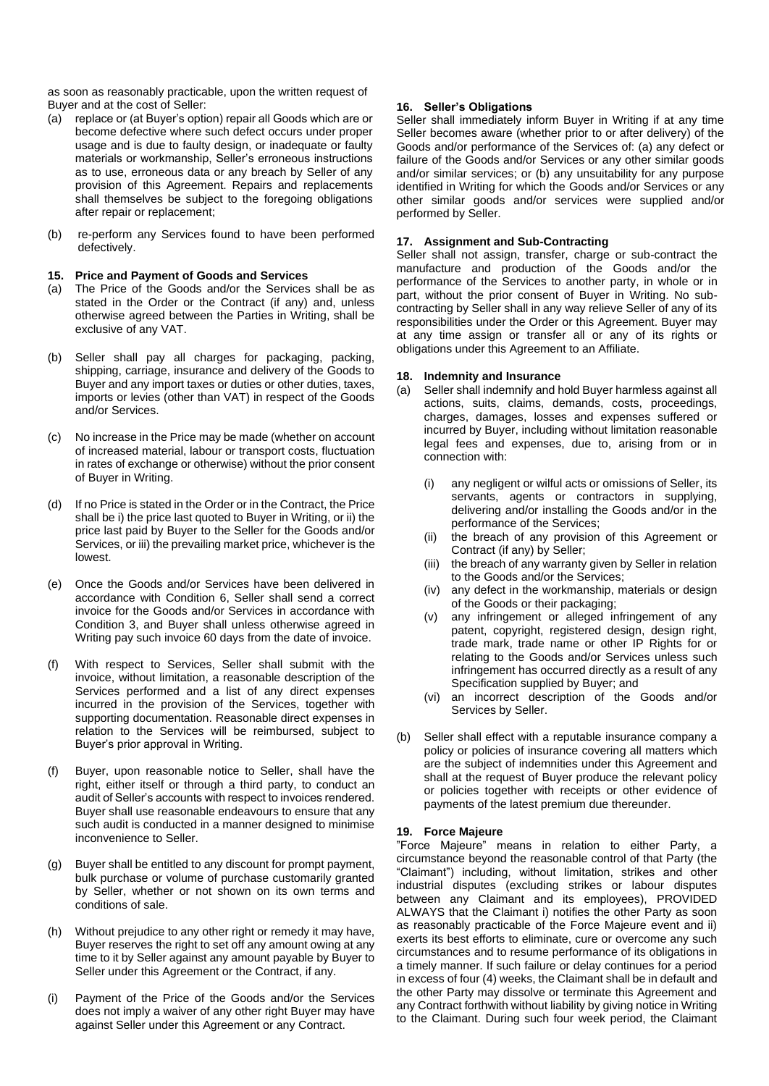as soon as reasonably practicable, upon the written request of Buyer and at the cost of Seller:

- (a) replace or (at Buyer's option) repair all Goods which are or become defective where such defect occurs under proper usage and is due to faulty design, or inadequate or faulty materials or workmanship, Seller's erroneous instructions as to use, erroneous data or any breach by Seller of any provision of this Agreement. Repairs and replacements shall themselves be subject to the foregoing obligations after repair or replacement;
- (b) re-perform any Services found to have been performed defectively.

#### **15. Price and Payment of Goods and Services**

- (a) The Price of the Goods and/or the Services shall be as stated in the Order or the Contract (if any) and, unless otherwise agreed between the Parties in Writing, shall be exclusive of any VAT.
- (b) Seller shall pay all charges for packaging, packing, shipping, carriage, insurance and delivery of the Goods to Buyer and any import taxes or duties or other duties, taxes, imports or levies (other than VAT) in respect of the Goods and/or Services.
- (c) No increase in the Price may be made (whether on account of increased material, labour or transport costs, fluctuation in rates of exchange or otherwise) without the prior consent of Buyer in Writing.
- (d) If no Price is stated in the Order or in the Contract, the Price shall be i) the price last quoted to Buyer in Writing, or ii) the price last paid by Buyer to the Seller for the Goods and/or Services, or iii) the prevailing market price, whichever is the lowest.
- (e) Once the Goods and/or Services have been delivered in accordance with Condition 6, Seller shall send a correct invoice for the Goods and/or Services in accordance with Condition 3, and Buyer shall unless otherwise agreed in Writing pay such invoice 60 days from the date of invoice.
- (f) With respect to Services, Seller shall submit with the invoice, without limitation, a reasonable description of the Services performed and a list of any direct expenses incurred in the provision of the Services, together with supporting documentation. Reasonable direct expenses in relation to the Services will be reimbursed, subject to Buyer's prior approval in Writing.
- (f) Buyer, upon reasonable notice to Seller, shall have the right, either itself or through a third party, to conduct an audit of Seller's accounts with respect to invoices rendered. Buyer shall use reasonable endeavours to ensure that any such audit is conducted in a manner designed to minimise inconvenience to Seller.
- (g) Buyer shall be entitled to any discount for prompt payment, bulk purchase or volume of purchase customarily granted by Seller, whether or not shown on its own terms and conditions of sale.
- (h) Without prejudice to any other right or remedy it may have, Buyer reserves the right to set off any amount owing at any time to it by Seller against any amount payable by Buyer to Seller under this Agreement or the Contract, if any.
- Payment of the Price of the Goods and/or the Services does not imply a waiver of any other right Buyer may have against Seller under this Agreement or any Contract.

### **16. Seller's Obligations**

Seller shall immediately inform Buyer in Writing if at any time Seller becomes aware (whether prior to or after delivery) of the Goods and/or performance of the Services of: (a) any defect or failure of the Goods and/or Services or any other similar goods and/or similar services; or (b) any unsuitability for any purpose identified in Writing for which the Goods and/or Services or any other similar goods and/or services were supplied and/or performed by Seller.

### **17. Assignment and Sub-Contracting**

Seller shall not assign, transfer, charge or sub-contract the manufacture and production of the Goods and/or the performance of the Services to another party, in whole or in part, without the prior consent of Buyer in Writing. No subcontracting by Seller shall in any way relieve Seller of any of its responsibilities under the Order or this Agreement. Buyer may at any time assign or transfer all or any of its rights or obligations under this Agreement to an Affiliate.

### **18. Indemnity and Insurance**

- (a) Seller shall indemnify and hold Buyer harmless against all actions, suits, claims, demands, costs, proceedings, charges, damages, losses and expenses suffered or incurred by Buyer, including without limitation reasonable legal fees and expenses, due to, arising from or in connection with:
	- (i) any negligent or wilful acts or omissions of Seller, its servants, agents or contractors in supplying, delivering and/or installing the Goods and/or in the performance of the Services;
	- (ii) the breach of any provision of this Agreement or Contract (if any) by Seller;
	- (iii) the breach of any warranty given by Seller in relation to the Goods and/or the Services;
	- (iv) any defect in the workmanship, materials or design of the Goods or their packaging;
	- (v) any infringement or alleged infringement of any patent, copyright, registered design, design right, trade mark, trade name or other IP Rights for or relating to the Goods and/or Services unless such infringement has occurred directly as a result of any Specification supplied by Buyer; and
	- (vi) an incorrect description of the Goods and/or Services by Seller.
- (b) Seller shall effect with a reputable insurance company a policy or policies of insurance covering all matters which are the subject of indemnities under this Agreement and shall at the request of Buyer produce the relevant policy or policies together with receipts or other evidence of payments of the latest premium due thereunder.

### **19. Force Majeure**

"Force Majeure" means in relation to either Party, a circumstance beyond the reasonable control of that Party (the "Claimant") including, without limitation, strikes and other industrial disputes (excluding strikes or labour disputes between any Claimant and its employees), PROVIDED ALWAYS that the Claimant i) notifies the other Party as soon as reasonably practicable of the Force Majeure event and ii) exerts its best efforts to eliminate, cure or overcome any such circumstances and to resume performance of its obligations in a timely manner. If such failure or delay continues for a period in excess of four (4) weeks, the Claimant shall be in default and the other Party may dissolve or terminate this Agreement and any Contract forthwith without liability by giving notice in Writing to the Claimant. During such four week period, the Claimant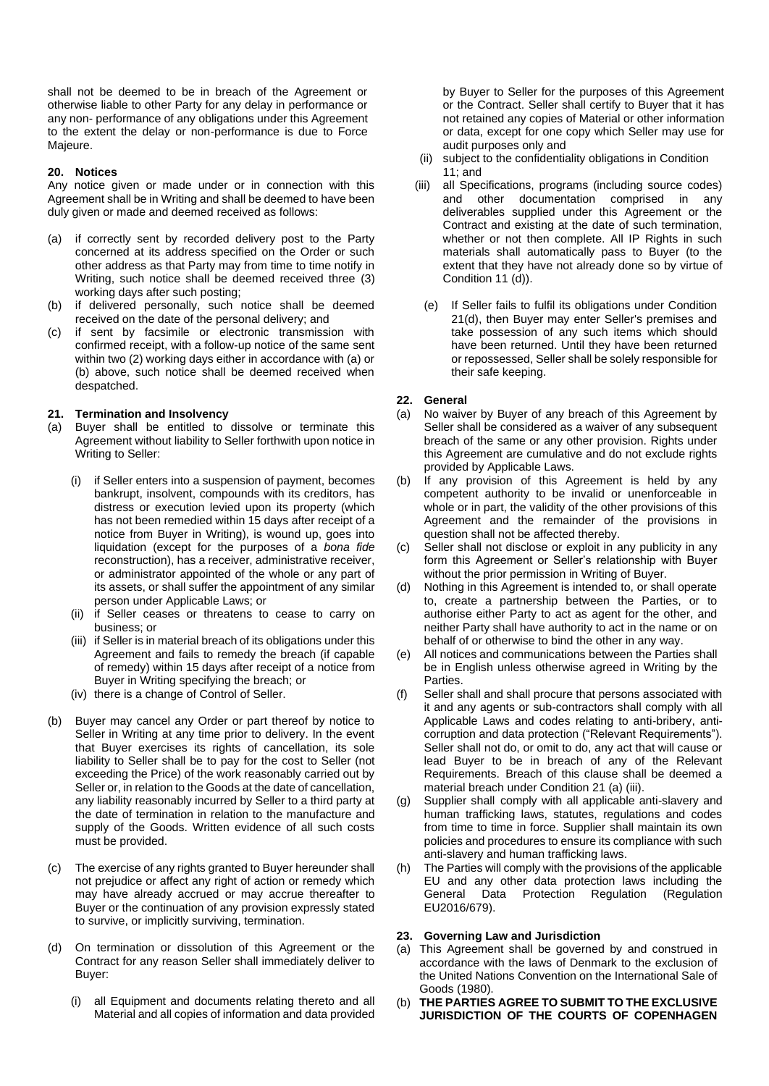shall not be deemed to be in breach of the Agreement or otherwise liable to other Party for any delay in performance or any non- performance of any obligations under this Agreement to the extent the delay or non-performance is due to Force Majeure.

### **20. Notices**

Any notice given or made under or in connection with this Agreement shall be in Writing and shall be deemed to have been duly given or made and deemed received as follows:

- (a) if correctly sent by recorded delivery post to the Party concerned at its address specified on the Order or such other address as that Party may from time to time notify in Writing, such notice shall be deemed received three (3) working days after such posting;
- (b) if delivered personally, such notice shall be deemed received on the date of the personal delivery; and
- (c) if sent by facsimile or electronic transmission with confirmed receipt, with a follow-up notice of the same sent within two (2) working days either in accordance with (a) or (b) above, such notice shall be deemed received when despatched.

## **21. Termination and Insolvency**

- (a) Buyer shall be entitled to dissolve or terminate this Agreement without liability to Seller forthwith upon notice in Writing to Seller:
	- (i) if Seller enters into a suspension of payment, becomes bankrupt, insolvent, compounds with its creditors, has distress or execution levied upon its property (which has not been remedied within 15 days after receipt of a notice from Buyer in Writing), is wound up, goes into liquidation (except for the purposes of a *bona fide*  reconstruction), has a receiver, administrative receiver, or administrator appointed of the whole or any part of its assets, or shall suffer the appointment of any similar person under Applicable Laws; or
	- (ii) if Seller ceases or threatens to cease to carry on business; or
	- (iii) if Seller is in material breach of its obligations under this Agreement and fails to remedy the breach (if capable of remedy) within 15 days after receipt of a notice from Buyer in Writing specifying the breach; or
	- (iv) there is a change of Control of Seller.
- (b) Buyer may cancel any Order or part thereof by notice to Seller in Writing at any time prior to delivery. In the event that Buyer exercises its rights of cancellation, its sole liability to Seller shall be to pay for the cost to Seller (not exceeding the Price) of the work reasonably carried out by Seller or, in relation to the Goods at the date of cancellation, any liability reasonably incurred by Seller to a third party at the date of termination in relation to the manufacture and supply of the Goods. Written evidence of all such costs must be provided.
- (c) The exercise of any rights granted to Buyer hereunder shall not prejudice or affect any right of action or remedy which may have already accrued or may accrue thereafter to Buyer or the continuation of any provision expressly stated to survive, or implicitly surviving, termination.
- (d) On termination or dissolution of this Agreement or the Contract for any reason Seller shall immediately deliver to Buyer:
	- (i) all Equipment and documents relating thereto and all Material and all copies of information and data provided

by Buyer to Seller for the purposes of this Agreement or the Contract. Seller shall certify to Buyer that it has not retained any copies of Material or other information or data, except for one copy which Seller may use for audit purposes only and

- (ii) subject to the confidentiality obligations in Condition 11; and
- (iii) all Specifications, programs (including source codes) and other documentation comprised in any deliverables supplied under this Agreement or the Contract and existing at the date of such termination, whether or not then complete. All IP Rights in such materials shall automatically pass to Buyer (to the extent that they have not already done so by virtue of Condition 11 (d)).
	- (e) If Seller fails to fulfil its obligations under Condition 21(d), then Buyer may enter Seller's premises and take possession of any such items which should have been returned. Until they have been returned or repossessed, Seller shall be solely responsible for their safe keeping.

## **22. General**

- (a) No waiver by Buyer of any breach of this Agreement by Seller shall be considered as a waiver of any subsequent breach of the same or any other provision. Rights under this Agreement are cumulative and do not exclude rights provided by Applicable Laws.
- (b) If any provision of this Agreement is held by any competent authority to be invalid or unenforceable in whole or in part, the validity of the other provisions of this Agreement and the remainder of the provisions in question shall not be affected thereby.
- (c) Seller shall not disclose or exploit in any publicity in any form this Agreement or Seller's relationship with Buyer without the prior permission in Writing of Buyer.
- (d) Nothing in this Agreement is intended to, or shall operate to, create a partnership between the Parties, or to authorise either Party to act as agent for the other, and neither Party shall have authority to act in the name or on behalf of or otherwise to bind the other in any way.
- (e) All notices and communications between the Parties shall be in English unless otherwise agreed in Writing by the Parties.
- (f) Seller shall and shall procure that persons associated with it and any agents or sub-contractors shall comply with all Applicable Laws and codes relating to anti-bribery, anticorruption and data protection ("Relevant Requirements"). Seller shall not do, or omit to do, any act that will cause or lead Buyer to be in breach of any of the Relevant Requirements. Breach of this clause shall be deemed a material breach under Condition 21 (a) (iii).
- (g) Supplier shall comply with all applicable anti-slavery and human trafficking laws, statutes, regulations and codes from time to time in force. Supplier shall maintain its own policies and procedures to ensure its compliance with such anti-slavery and human trafficking laws.
- (h) The Parties will comply with the provisions of the applicable EU and any other data protection laws including the General Data Protection Regulation (Regulation EU2016/679).

### **23. Governing Law and Jurisdiction**

- (a) This Agreement shall be governed by and construed in accordance with the laws of Denmark to the exclusion of the United Nations Convention on the International Sale of Goods (1980).
- (b) **THE PARTIES AGREE TO SUBMIT TO THE EXCLUSIVE JURISDICTION OF THE COURTS OF COPENHAGEN**